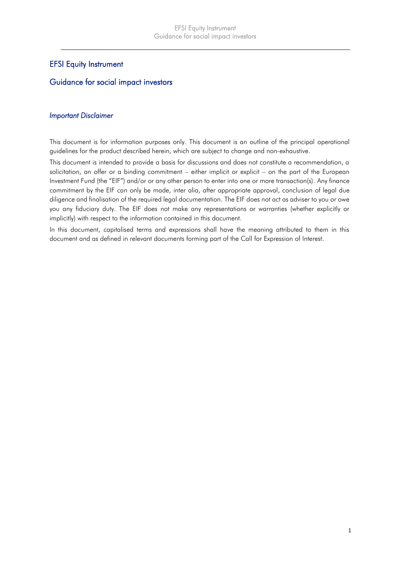## EFSI Equity Instrument

## Guidance for social impact investors

#### *Important Disclaimer*

This document is for information purposes only. This document is an outline of the principal operational guidelines for the product described herein, which are subject to change and non-exhaustive.

This document is intended to provide a basis for discussions and does not constitute a recommendation, a solicitation, an offer or a binding commitment – either implicit or explicit – on the part of the European Investment Fund (the "EIF") and/or or any other person to enter into one or more transaction(s). Any finance commitment by the EIF can only be made, inter alia, after appropriate approval, conclusion of legal due diligence and finalisation of the required legal documentation. The EIF does not act as adviser to you or owe you any fiduciary duty. The EIF does not make any representations or warranties (whether explicitly or implicitly) with respect to the information contained in this document.

In this document, capitalised terms and expressions shall have the meaning attributed to them in this document and as defined in relevant documents forming part of the Call for Expression of Interest.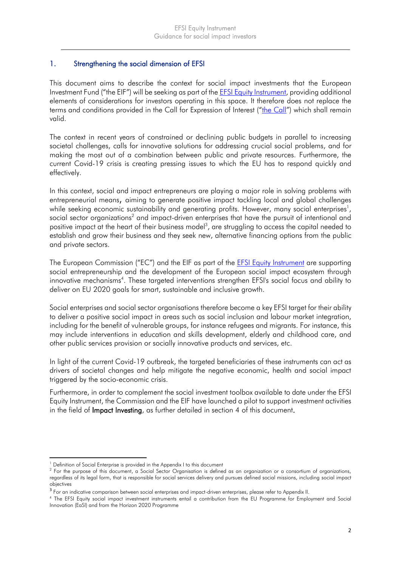## 1. Strengthening the social dimension of EFSI

This document aims to describe the context for social impact investments that the European Investment Fund ("the EIF") will be seeking as part of the [EFSI Equity Instrument,](http://www.eif.org/what_we_do/efsi/equity/index.htm) providing additional elements of considerations for investors operating in this space. It therefore does not replace the terms and conditions provided in [the Call](http://www.eif.org/what_we_do/efsi/equity/index.htm) for Expression of Interest ("the Call") which shall remain valid.

The context in recent years of constrained or declining public budgets in parallel to increasing societal challenges, calls for innovative solutions for addressing crucial social problems, and for making the most out of a combination between public and private resources. Furthermore, the current Covid-19 crisis is creating pressing issues to which the EU has to respond quickly and effectively.

In this context, social and impact entrepreneurs are playing a major role in solving problems with entrepreneurial means, aiming to generate positive impact tackling local and global challenges while seeking economic sustainability and generating profits. However, many social enterprises $^{\text{!}}$ , social sector organizations<sup>2</sup> and impact-driven enterprises that have the pursuit of intentional and positive impact at the heart of their business model $3$ , are struggling to access the capital needed to establish and grow their business and they seek new, alternative financing options from the public and private sectors.

The European Commission ("EC") and the EIF as part of the [EFSI Equity Instrument](http://www.eif.org/what_we_do/efsi/equity/index.htm) are supporting social entrepreneurship and the development of the European social impact ecosystem through innovative mechanisms<sup>4</sup>. These targeted interventions strengthen EFSI's social focus and ability to deliver on EU 2020 goals for smart, sustainable and inclusive growth.

Social enterprises and social sector organisations therefore become a key EFSI target for their ability to deliver a positive social impact in areas such as social inclusion and labour market integration, including for the benefit of vulnerable groups, for instance refugees and migrants. For instance, this may include interventions in education and skills development, elderly and childhood care, and other public services provision or socially innovative products and services, etc.

In light of the current Covid-19 outbreak, the targeted beneficiaries of these instruments can act as drivers of societal changes and help mitigate the negative economic, health and social impact triggered by the socio-economic crisis.

Furthermore, in order to complement the social investment toolbox available to date under the EFSI Equity Instrument, the Commission and the EIF have launched a pilot to support investment activities in the field of Impact Investing, as further detailed in section 4 of this document.

 $\ddot{\phantom{a}}$ <sup>1</sup> Definition of Social Enterprise is provided in the Appendix I to this document

<sup>&</sup>lt;sup>2</sup> For the purpose of this document, a Social Sector Organisation is defined as an organization or a consortium of organizations, regardless of its legal form, that is responsible for social services delivery and pursues defined social missions, including social impact objectives

 $^3$  For an indicative comparison between social enterprises and impact-driven enterprises, please refer to Appendix II.

<sup>4</sup> The EFSI Equity social impact investment instruments entail a contribution from the EU Programme for Employment and Social Innovation (EaSI) and from the Horizon 2020 Programme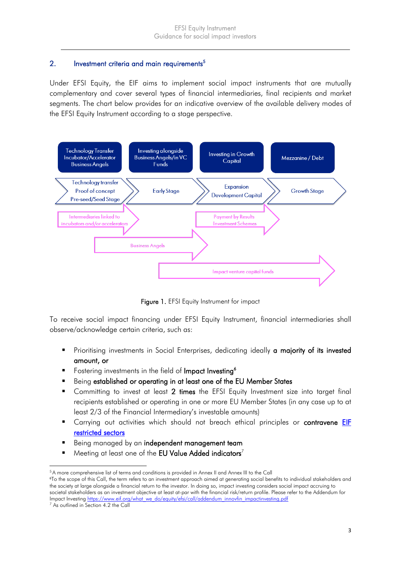### 2. Investment criteria and main requirements<sup>5</sup>

Under EFSI Equity, the EIF aims to implement social impact instruments that are mutually complementary and cover several types of financial intermediaries, final recipients and market segments. The chart below provides for an indicative overview of the available delivery modes of the EFSI Equity Instrument according to a stage perspective.



Figure 1. EFSI Equity Instrument for impact

To receive social impact financing under EFSI Equity Instrument, financial intermediaries shall observe/acknowledge certain criteria, such as:

- **Prioritising investments in Social Enterprises, dedicating ideally a majority of its invested** amount, or
- Fostering investments in the field of Impact Investing<sup>6</sup>
- Being established or operating in at least one of the EU Member States
- Committing to invest at least 2 times the EFSI Equity Investment size into target final recipients established or operating in one or more EU Member States (in any case up to at least 2/3 of the Financial Intermediary's investable amounts)
- Carrying out activities which should not breach ethical principles or **contravene EIF** [restricted sectors](http://www.eif.org/news_centre/publications/2010_Guidelines_for_Restricted_Sectors.htm?lang=-en)
- Being managed by an independent management team
- Meeting at least one of the EU Value Added indicators<sup>7</sup>

<sup>5</sup>A more comprehensive list of terms and conditions is provided in Annex II and Annex III to the Call

<sup>6</sup>To the scope of this Call, the term refers to an investment approach aimed at generating social benefits to individual stakeholders and the society at large alongside a financial return to the investor. In doing so, impact investing considers social impact accruing to societal stakeholders as an investment objective at least at-par with the financial risk/return profile. Please refer to the Addendum for Impact Investin[g https://www.eif.org/what\\_we\\_do/equity/efsi/call/addendum\\_innovfin\\_impactinvesting.pdf](https://www.eif.org/what_we_do/equity/efsi/call/addendum_innovfin_impactinvesting.pdf)

<sup>&</sup>lt;sup>7</sup> As outlined in Section 4.2 the Call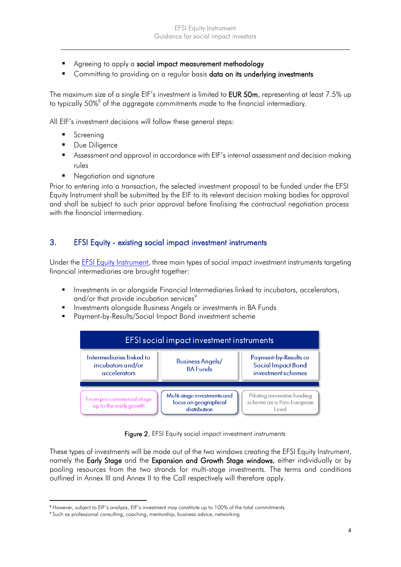- Agreeing to apply a social impact measurement methodology
- Committing to providing on a regular basis data on its underlying investments

The maximum size of a single EIF's investment is limited to **EUR 50m**, representing at least 7.5% up to typically 50%<sup>8</sup> of the aggregate commitments made to the financial intermediary.

All EIF's investment decisions will follow these general steps:

- **Screening**
- **Due Diligence**
- Assessment and approval in accordance with EIF's internal assessment and decision making rules
- **Negotiation and signature**

Prior to entering into a transaction, the selected investment proposal to be funded under the EFSI Equity Instrument shall be submitted by the EIF to its relevant decision making bodies for approval and shall be subject to such prior approval before finalising the contractual negotiation process with the financial intermediary.

## 3. EFSI Equity - existing social impact investment instruments

Under the [EFSI Equity](http://www.eif.org/what_we_do/efsi/equity/index.htm) Instrument, three main types of social impact investment instruments targeting financial intermediaries are brought together:

- **Investments in or alongside Financial Intermediaries linked to incubators, accelerators,** and/or that provide incubation services $\degree$
- **Investments alongside Business Angels or investments in BA Funds**
- Payment-by-Results/Social Impact Bond investment scheme



Figure 2. EFSI Equity social impact investment instruments

These types of investments will be made out of the two windows creating the EFSI Equity Instrument, namely the Early Stage and the Expansion and Growth Stage windows, either individually or by pooling resources from the two strands for multi-stage investments. The terms and conditions outlined in Annex III and Annex II to the Call respectively will therefore apply.

<sup>8</sup> However, subject to EIF's analysis, EIF's investment may constitute up to 100% of the total commitments

<sup>&</sup>lt;sup>9</sup> Such as professional consulting, coaching, mentorship, business advice, networking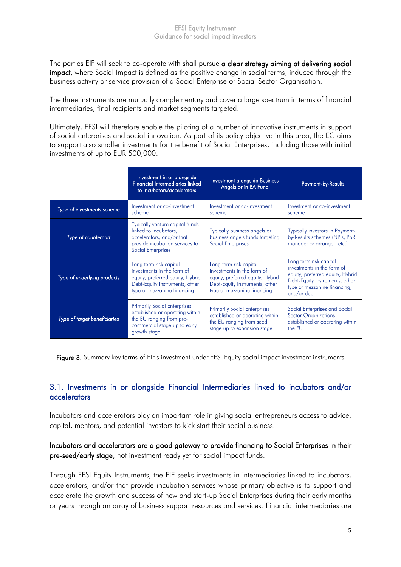The parties EIF will seek to co-operate with shall pursue a clear strategy aiming at delivering social impact, where Social Impact is defined as the positive change in social terms, induced through the business activity or service provision of a Social Enterprise or Social Sector Organisation.

The three instruments are mutually complementary and cover a large spectrum in terms of financial intermediaries, final recipients and market segments targeted.

Ultimately, EFSI will therefore enable the piloting of a number of innovative instruments in support of social enterprises and social innovation. As part of its policy objective in this area, the EC aims to support also smaller investments for the benefit of Social Enterprises, including those with initial investments of up to EUR 500,000.

|                              | Investment in or alongside<br><b>Financial Intermediaries linked</b><br>to incubators/accelerators                                                        | Investment alongside Business<br>Angels or in BA Fund                                                                                                     | <b>Payment-by-Results</b>                                                                                                                                                 |
|------------------------------|-----------------------------------------------------------------------------------------------------------------------------------------------------------|-----------------------------------------------------------------------------------------------------------------------------------------------------------|---------------------------------------------------------------------------------------------------------------------------------------------------------------------------|
| Type of investments scheme   | Investment or co-investment<br>scheme                                                                                                                     | Investment or co-investment<br>scheme                                                                                                                     | Investment or co-investment<br>scheme                                                                                                                                     |
| Type of counterpart          | Typically venture capital funds<br>linked to incubators,<br>accelerators, and/or that<br>provide incubation services to<br><b>Social Enterprises</b>      | Typically business angels or<br>business angels funds targeting<br><b>Social Enterprises</b>                                                              | Typically investors in Payment-<br>by-Results schemes (NPIs, PbR<br>manager or arranger, etc.)                                                                            |
| Type of underlying products  | Long term risk capital<br>investments in the form of<br>equity, preferred equity, Hybrid<br>Debt-Equity Instruments, other<br>type of mezzanine financing | Long term risk capital<br>investments in the form of<br>equity, preferred equity, Hybrid<br>Debt-Equity Instruments, other<br>type of mezzanine financing | Long term risk capital<br>investments in the form of<br>equity, preferred equity, Hybrid<br>Debt-Equity Instruments, other<br>type of mezzanine financing,<br>and/or debt |
| Type of target beneficiaries | <b>Primarily Social Enterprises</b><br>established or operating within<br>the EU ranging from pre-<br>commercial stage up to early<br>growth stage        | <b>Primarily Social Enterprises</b><br>established or operating within<br>the EU ranging from seed<br>stage up to expansion stage                         | Social Enterprises and Social<br><b>Sector Organizations</b><br>established or operating within<br>the EU                                                                 |

Figure 3. Summary key terms of EIF's investment under EFSI Equity social impact investment instruments

# 3.1. Investments in or alongside Financial Intermediaries linked to incubators and/or accelerators

Incubators and accelerators play an important role in giving social entrepreneurs access to advice, capital, mentors, and potential investors to kick start their social business.

Incubators and accelerators are a good gateway to provide financing to Social Enterprises in their pre-seed/early stage, not investment ready yet for social impact funds.

Through EFSI Equity Instruments, the EIF seeks investments in intermediaries linked to incubators, accelerators, and/or that provide incubation services whose primary objective is to support and accelerate the growth and success of new and start-up Social Enterprises during their early months or years through an array of business support resources and services. Financial intermediaries are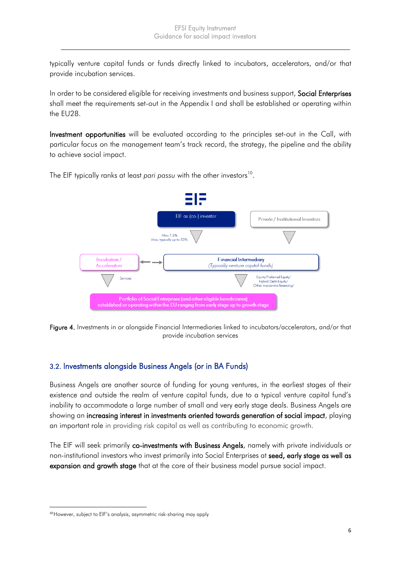typically venture capital funds or funds directly linked to incubators, accelerators, and/or that provide incubation services.

In order to be considered eligible for receiving investments and business support, Social Enterprises shall meet the requirements set-out in the Appendix I and shall be established or operating within the EU28.

Investment opportunities will be evaluated according to the principles set-out in the Call, with particular focus on the management team's track record, the strategy, the pipeline and the ability to achieve social impact.



The EIF typically ranks at least pari passu with the other investors<sup>10</sup>.

Figure 4. Investments in or alongside Financial Intermediaries linked to incubators/accelerators, and/or that provide incubation services

# 3.2. Investments alongside Business Angels (or in BA Funds)

Business Angels are another source of funding for young ventures, in the earliest stages of their existence and outside the realm of venture capital funds, due to a typical venture capital fund's inability to accommodate a large number of small and very early stage deals. Business Angels are showing an increasing interest in investments oriented towards generation of social impact, playing an important role in providing risk capital as well as contributing to economic growth.

The EIF will seek primarily co-investments with Business Angels, namely with private individuals or non-institutional investors who invest primarily into Social Enterprises at seed, early stage as well as expansion and growth stage that at the core of their business model pursue social impact.

<sup>10</sup>However, subject to EIF's analysis, asymmetric risk-sharing may apply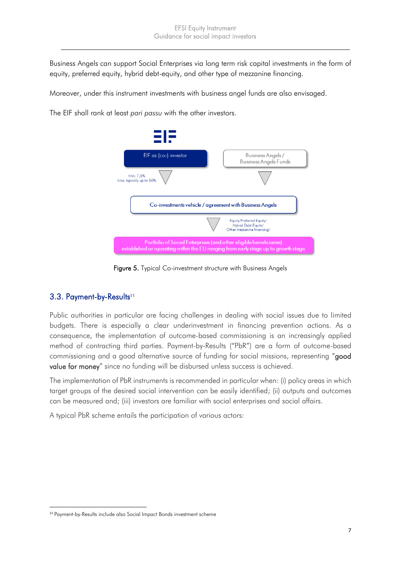Business Angels can support Social Enterprises via long term risk capital investments in the form of equity, preferred equity, hybrid debt-equity, and other type of mezzanine financing.

Moreover, under this instrument investments with business angel funds are also envisaged.

The EIF shall rank at least *pari passu* with the other investors.



Figure 5. Typical Co-investment structure with Business Angels

# 3.3. Payment-by-Results<sup>11</sup>

Public authorities in particular are facing challenges in dealing with social issues due to limited budgets. There is especially a clear underinvestment in financing prevention actions. As a consequence, the implementation of outcome-based commissioning is an increasingly applied method of contracting third parties. Payment-by-Results ("PbR") are a form of outcome-based commissioning and a good alternative source of funding for social missions, representing "good value for money" since no funding will be disbursed unless success is achieved.

The implementation of PbR instruments is recommended in particular when: (i) policy areas in which target groups of the desired social intervention can be easily identified; (ii) outputs and outcomes can be measured and; (iii) investors are familiar with social enterprises and social affairs.

A typical PbR scheme entails the participation of various actors:

 $\overline{a}$ <sup>11</sup> Payment-by-Results include also Social Impact Bonds investment scheme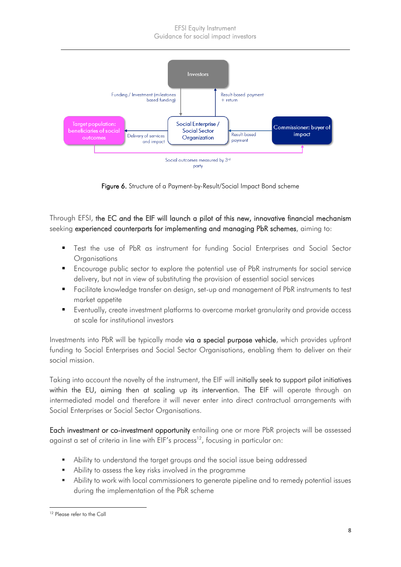

Figure 6. Structure of a Payment-by-Result/Social Impact Bond scheme

Through EFSI, the EC and the EIF will launch a pilot of this new, innovative financial mechanism seeking experienced counterparts for implementing and managing PbR schemes, aiming to:

- Test the use of PbR as instrument for funding Social Enterprises and Social Sector **Organisations**
- Encourage public sector to explore the potential use of PbR instruments for social service delivery, but not in view of substituting the provision of essential social services
- Facilitate knowledge transfer on design, set-up and management of PbR instruments to test market appetite
- Eventually, create investment platforms to overcome market granularity and provide access at scale for institutional investors

Investments into PbR will be typically made via a special purpose vehicle, which provides upfront funding to Social Enterprises and Social Sector Organisations, enabling them to deliver on their social mission.

Taking into account the novelty of the instrument, the EIF will initially seek to support pilot initiatives within the EU, aiming then at scaling up its intervention. The EIF will operate through an intermediated model and therefore it will never enter into direct contractual arrangements with Social Enterprises or Social Sector Organisations.

Each investment or co-investment opportunity entailing one or more PbR projects will be assessed against a set of criteria in line with EIF's process<sup>12</sup>, focusing in particular on:

- Ability to understand the target groups and the social issue being addressed
- Ability to assess the key risks involved in the programme
- Ability to work with local commissioners to generate pipeline and to remedy potential issues during the implementation of the PbR scheme

 $\overline{a}$ <sup>12</sup> Please refer to the Call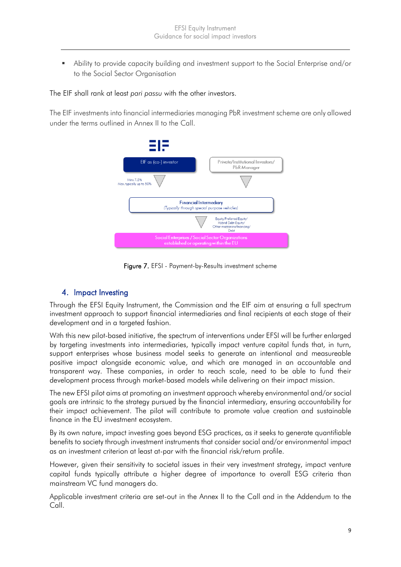Ability to provide capacity building and investment support to the Social Enterprise and/or to the Social Sector Organisation

#### The EIF shall rank at least *pari passu* with the other investors.

The EIF investments into financial intermediaries managing PbR investment scheme are only allowed under the terms outlined in Annex II to the Call.



Figure 7. EFSI - Payment-by-Results investment scheme

# 4. Impact Investing

Through the EFSI Equity Instrument, the Commission and the EIF aim at ensuring a full spectrum investment approach to support financial intermediaries and final recipients at each stage of their development and in a targeted fashion.

With this new pilot-based initiative, the spectrum of interventions under EFSI will be further enlarged by targeting investments into intermediaries, typically impact venture capital funds that, in turn, support enterprises whose business model seeks to generate an intentional and measureable positive impact alongside economic value, and which are managed in an accountable and transparent way. These companies, in order to reach scale, need to be able to fund their development process through market-based models while delivering on their impact mission.

The new EFSI pilot aims at promoting an investment approach whereby environmental and/or social goals are intrinsic to the strategy pursued by the financial intermediary, ensuring accountability for their impact achievement. The pilot will contribute to promote value creation and sustainable finance in the EU investment ecosystem.

By its own nature, impact investing goes beyond ESG practices, as it seeks to generate quantifiable benefits to society through investment instruments that consider social and/or environmental impact as an investment criterion at least at-par with the financial risk/return profile.

However, given their sensitivity to societal issues in their very investment strategy, impact venture capital funds typically attribute a higher degree of importance to overall ESG criteria than mainstream VC fund managers do.

Applicable investment criteria are set-out in the Annex II to the Call and in the Addendum to the Call.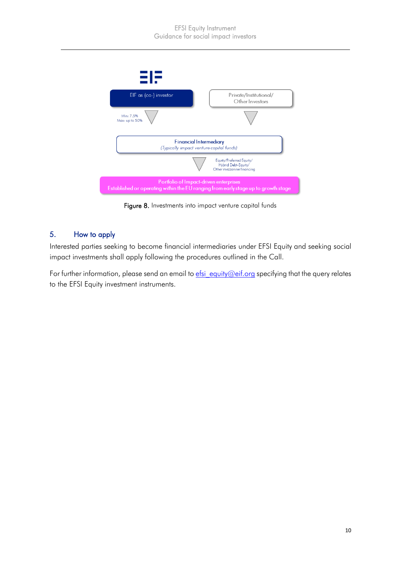

Figure 8. Investments into impact venture capital funds

# 5. How to apply

Interested parties seeking to become financial intermediaries under EFSI Equity and seeking social impact investments shall apply following the procedures outlined in the Call.

For further information, please send an email to  $e$ fsi equity@eif.org specifying that the query relates to the EFSI Equity investment instruments.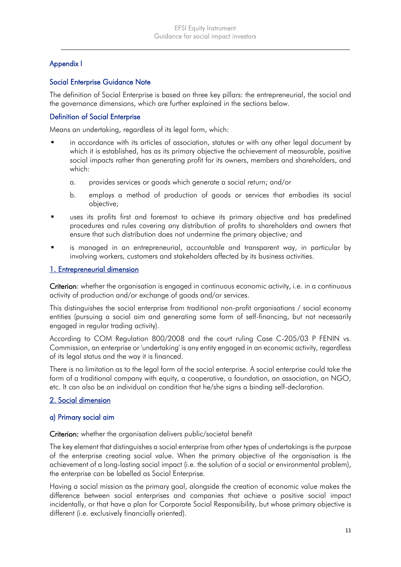# Appendix I

## Social Enterprise Guidance Note

The definition of Social Enterprise is based on three key pillars: the entrepreneurial, the social and the governance dimensions, which are further explained in the sections below.

#### Definition of Social Enterprise

Means an undertaking, regardless of its legal form, which:

- in accordance with its articles of association, statutes or with any other legal document by which it is established, has as its primary objective the achievement of measurable, positive social impacts rather than generating profit for its owners, members and shareholders, and which:
	- a. provides services or goods which generate a social return; and/or
	- b. employs a method of production of goods or services that embodies its social objective;
- uses its profits first and foremost to achieve its primary objective and has predefined procedures and rules covering any distribution of profits to shareholders and owners that ensure that such distribution does not undermine the primary objective; and
- is managed in an entrepreneurial, accountable and transparent way, in particular by involving workers, customers and stakeholders affected by its business activities.

#### 1. Entrepreneurial dimension

Criterion: whether the organisation is engaged in continuous economic activity, i.e. in a continuous activity of production and/or exchange of goods and/or services.

This distinguishes the social enterprise from traditional non-profit organisations / social economy entities (pursuing a social aim and generating some form of self-financing, but not necessarily engaged in regular trading activity).

According to COM Regulation 800/2008 and the court ruling Case C-205/03 P FENIN vs. Commission, an enterprise or 'undertaking' is any entity engaged in an economic activity, regardless of its legal status and the way it is financed.

There is no limitation as to the legal form of the social enterprise. A social enterprise could take the form of a traditional company with equity, a cooperative, a foundation, an association, an NGO, etc. It can also be an individual on condition that he/she signs a binding self-declaration.

#### 2. Social dimension

#### a) Primary social aim

Criterion: whether the organisation delivers public/societal benefit

The key element that distinguishes a social enterprise from other types of undertakings is the purpose of the enterprise creating social value. When the primary objective of the organisation is the achievement of a long-lasting social impact (i.e. the solution of a social or environmental problem), the enterprise can be labelled as Social Enterprise.

Having a social mission as the primary goal, alongside the creation of economic value makes the difference between social enterprises and companies that achieve a positive social impact incidentally, or that have a plan for Corporate Social Responsibility, but whose primary objective is different (i.e. exclusively financially oriented).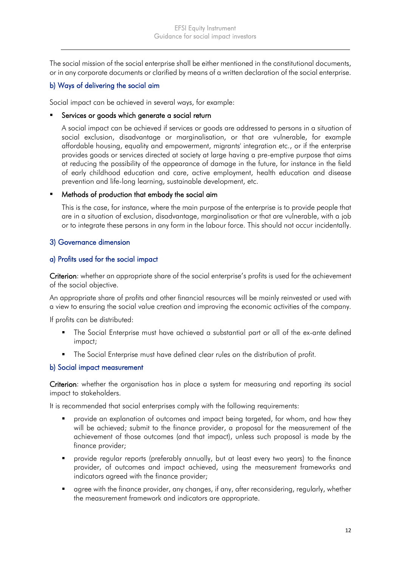The social mission of the social enterprise shall be either mentioned in the constitutional documents, or in any corporate documents or clarified by means of a written declaration of the social enterprise.

## b) Ways of delivering the social aim

Social impact can be achieved in several ways, for example:

#### **EXECT** Services or goods which generate a social return

A social impact can be achieved if services or goods are addressed to persons in a situation of social exclusion, disadvantage or marginalisation, or that are vulnerable, for example affordable housing, equality and empowerment, migrants' integration etc., or if the enterprise provides goods or services directed at society at large having a pre-emptive purpose that aims at reducing the possibility of the appearance of damage in the future, for instance in the field of early childhood education and care, active employment, health education and disease prevention and life-long learning, sustainable development, etc.

### **•** Methods of production that embody the social aim

This is the case, for instance, where the main purpose of the enterprise is to provide people that are in a situation of exclusion, disadvantage, marginalisation or that are vulnerable, with a job or to integrate these persons in any form in the labour force. This should not occur incidentally.

## 3) Governance dimension

### a) Profits used for the social impact

Criterion: whether an appropriate share of the social enterprise's profits is used for the achievement of the social objective.

An appropriate share of profits and other financial resources will be mainly reinvested or used with a view to ensuring the social value creation and improving the economic activities of the company.

If profits can be distributed:

- The Social Enterprise must have achieved a substantial part or all of the ex-ante defined impact;
- The Social Enterprise must have defined clear rules on the distribution of profit.

#### b) Social impact measurement

Criterion: whether the organisation has in place a system for measuring and reporting its social impact to stakeholders.

It is recommended that social enterprises comply with the following requirements:

- provide an explanation of outcomes and impact being targeted, for whom, and how they will be achieved; submit to the finance provider, a proposal for the measurement of the achievement of those outcomes (and that impact), unless such proposal is made by the finance provider;
- provide regular reports (preferably annually, but at least every two years) to the finance provider, of outcomes and impact achieved, using the measurement frameworks and indicators agreed with the finance provider;
- **a** agree with the finance provider, any changes, if any, after reconsidering, regularly, whether the measurement framework and indicators are appropriate.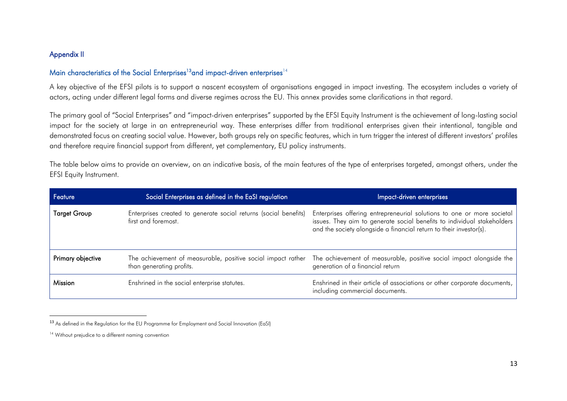## Appendix II

#### Main characteristics of the Social Enterprises<sup>13</sup> and impact-driven enterprises<sup>14</sup>

A key objective of the EFSI pilots is to support a nascent ecosystem of organisations engaged in impact investing. The ecosystem includes a variety of actors, acting under different legal forms and diverse regimes across the EU. This annex provides some clarifications in that regard.

The primary goal of "Social Enterprises" and "impact-driven enterprises" supported by the EFSI Equity Instrument is the achievement of long-lasting social impact for the society at large in an entrepreneurial way. These enterprises differ from traditional enterprises given their intentional, tangible and demonstrated focus on creating social value. However, both groups rely on specific features, which in turn trigger the interest of different investors' profiles and therefore require financial support from different, yet complementary, EU policy instruments.

The table below aims to provide an overview, on an indicative basis, of the main features of the type of enterprises targeted, amongst others, under the EFSI Equity Instrument.

| Feature           | Social Enterprises as defined in the EaSI regulation                                     | Impact-driven enterprises                                                                                                                                                                                               |
|-------------------|------------------------------------------------------------------------------------------|-------------------------------------------------------------------------------------------------------------------------------------------------------------------------------------------------------------------------|
| Target Group      | Enterprises created to generate social returns (social benefits)<br>first and foremost.  | Enterprises offering entrepreneurial solutions to one or more societal<br>issues. They aim to generate social benefits to individual stakeholders<br>and the society alongside a financial return to their investor(s). |
| Primary objective | The achievement of measurable, positive social impact rather<br>than generating profits. | The achievement of measurable, positive social impact alongside the<br>generation of a financial return                                                                                                                 |
| Mission           | Enshrined in the social enterprise statutes.                                             | Enshrined in their article of associations or other corporate documents,<br>including commercial documents.                                                                                                             |

<sup>13</sup> As defined in the Regulation for the EU Programme for Employment and Social Innovation (EaSI)

<sup>&</sup>lt;sup>14</sup> Without prejudice to a different naming convention